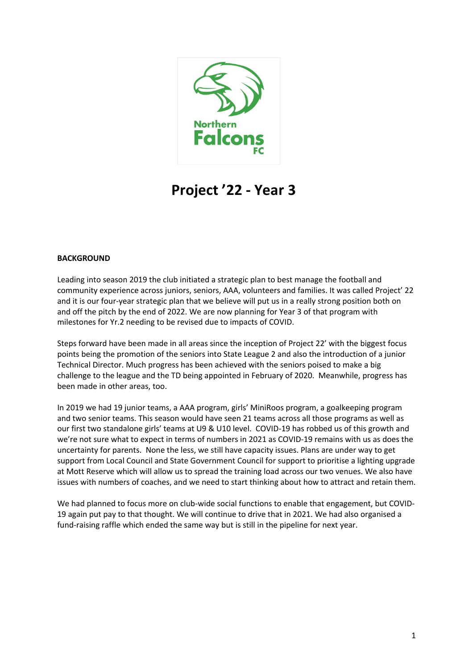

# **Project '22 - Year 3**

# **BACKGROUND**

Leading into season 2019 the club initiated a strategic plan to best manage the football and community experience across juniors, seniors, AAA, volunteers and families. It was called Project' 22 and it is our four-year strategic plan that we believe will put us in a really strong position both on and off the pitch by the end of 2022. We are now planning for Year 3 of that program with milestones for Yr.2 needing to be revised due to impacts of COVID.

Steps forward have been made in all areas since the inception of Project 22' with the biggest focus points being the promotion of the seniors into State League 2 and also the introduction of a junior Technical Director. Much progress has been achieved with the seniors poised to make a big challenge to the league and the TD being appointed in February of 2020. Meanwhile, progress has been made in other areas, too.

In 2019 we had 19 junior teams, a AAA program, girls' MiniRoos program, a goalkeeping program and two senior teams. This season would have seen 21 teams across all those programs as well as our first two standalone girls' teams at U9 & U10 level. COVID-19 has robbed us of this growth and we're not sure what to expect in terms of numbers in 2021 as COVID-19 remains with us as does the uncertainty for parents. None the less, we still have capacity issues. Plans are under way to get support from Local Council and State Government Council for support to prioritise a lighting upgrade at Mott Reserve which will allow us to spread the training load across our two venues. We also have issues with numbers of coaches, and we need to start thinking about how to attract and retain them.

We had planned to focus more on club-wide social functions to enable that engagement, but COVID-19 again put pay to that thought. We will continue to drive that in 2021. We had also organised a fund-raising raffle which ended the same way but is still in the pipeline for next year.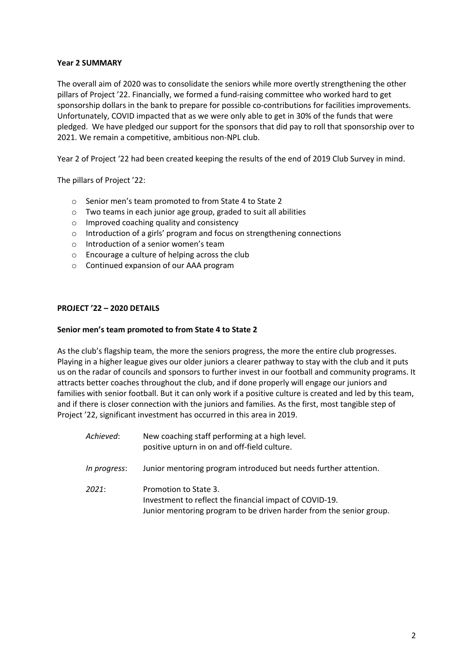# **Year 2 SUMMARY**

The overall aim of 2020 was to consolidate the seniors while more overtly strengthening the other pillars of Project '22. Financially, we formed a fund-raising committee who worked hard to get sponsorship dollars in the bank to prepare for possible co-contributions for facilities improvements. Unfortunately, COVID impacted that as we were only able to get in 30% of the funds that were pledged. We have pledged our support for the sponsors that did pay to roll that sponsorship over to 2021. We remain a competitive, ambitious non-NPL club.

Year 2 of Project '22 had been created keeping the results of the end of 2019 Club Survey in mind.

The pillars of Project '22:

- o Senior men's team promoted to from State 4 to State 2
- o Two teams in each junior age group, graded to suit all abilities
- o Improved coaching quality and consistency
- o Introduction of a girls' program and focus on strengthening connections
- o Introduction of a senior women's team
- o Encourage a culture of helping across the club
- o Continued expansion of our AAA program

## **PROJECT '22 – 2020 DETAILS**

## **Senior men's team promoted to from State 4 to State 2**

As the club's flagship team, the more the seniors progress, the more the entire club progresses. Playing in a higher league gives our older juniors a clearer pathway to stay with the club and it puts us on the radar of councils and sponsors to further invest in our football and community programs. It attracts better coaches throughout the club, and if done properly will engage our juniors and families with senior football. But it can only work if a positive culture is created and led by this team, and if there is closer connection with the juniors and families. As the first, most tangible step of Project '22, significant investment has occurred in this area in 2019.

| Achieved:    | New coaching staff performing at a high level.<br>positive upturn in on and off-field culture.                                                          |
|--------------|---------------------------------------------------------------------------------------------------------------------------------------------------------|
| In progress: | Junior mentoring program introduced but needs further attention.                                                                                        |
| 2021:        | Promotion to State 3.<br>Investment to reflect the financial impact of COVID-19.<br>Junior mentoring program to be driven harder from the senior group. |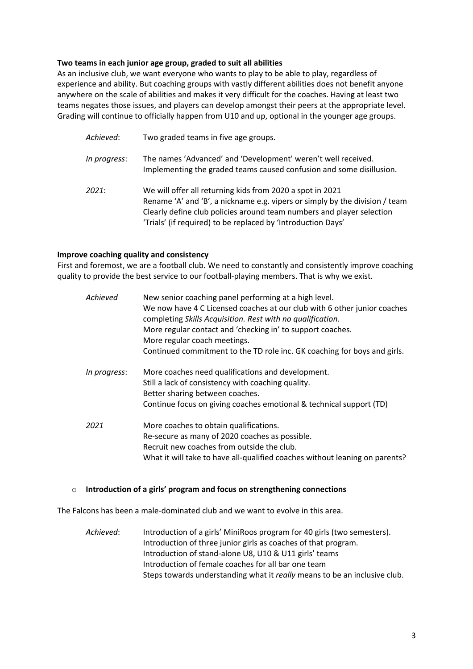# **Two teams in each junior age group, graded to suit all abilities**

As an inclusive club, we want everyone who wants to play to be able to play, regardless of experience and ability. But coaching groups with vastly different abilities does not benefit anyone anywhere on the scale of abilities and makes it very difficult for the coaches. Having at least two teams negates those issues, and players can develop amongst their peers at the appropriate level. Grading will continue to officially happen from U10 and up, optional in the younger age groups.

*Achieved*: Two graded teams in five age groups. *In progress*: The names 'Advanced' and 'Development' weren't well received. Implementing the graded teams caused confusion and some disillusion. *2021*: We will offer all returning kids from 2020 a spot in 2021 Rename 'A' and 'B', a nickname e.g. vipers or simply by the division / team Clearly define club policies around team numbers and player selection 'Trials' (if required) to be replaced by 'Introduction Days'

# **Improve coaching quality and consistency**

First and foremost, we are a football club. We need to constantly and consistently improve coaching quality to provide the best service to our football-playing members. That is why we exist.

| Achieved     | New senior coaching panel performing at a high level.<br>We now have 4 C Licensed coaches at our club with 6 other junior coaches<br>completing Skills Acquisition. Rest with no qualification.<br>More regular contact and 'checking in' to support coaches.<br>More regular coach meetings.<br>Continued commitment to the TD role inc. GK coaching for boys and girls. |
|--------------|---------------------------------------------------------------------------------------------------------------------------------------------------------------------------------------------------------------------------------------------------------------------------------------------------------------------------------------------------------------------------|
| In progress: | More coaches need qualifications and development.<br>Still a lack of consistency with coaching quality.<br>Better sharing between coaches.<br>Continue focus on giving coaches emotional & technical support (TD)                                                                                                                                                         |
| 2021         | More coaches to obtain qualifications.<br>Re-secure as many of 2020 coaches as possible.<br>Recruit new coaches from outside the club.<br>What it will take to have all-qualified coaches without leaning on parents?                                                                                                                                                     |

## o **Introduction of a girls' program and focus on strengthening connections**

The Falcons has been a male-dominated club and we want to evolve in this area.

*Achieved*: Introduction of a girls' MiniRoos program for 40 girls (two semesters). Introduction of three junior girls as coaches of that program. Introduction of stand-alone U8, U10 & U11 girls' teams Introduction of female coaches for all bar one team Steps towards understanding what it *really* means to be an inclusive club.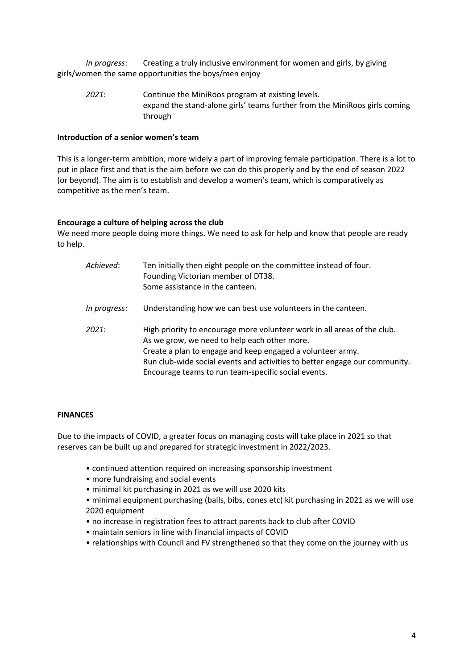*In progress*: Creating a truly inclusive environment for women and girls, by giving girls/women the same opportunities the boys/men enjoy

*2021*: Continue the MiniRoos program at existing levels. expand the stand-alone girls' teams further from the MiniRoos girls coming through

## **Introduction of a senior women's team**

This is a longer-term ambition, more widely a part of improving female participation. There is a lot to put in place first and that is the aim before we can do this properly and by the end of season 2022 (or beyond). The aim is to establish and develop a women's team, which is comparatively as competitive as the men's team.

#### **Encourage a culture of helping across the club**

We need more people doing more things. We need to ask for help and know that people are ready to help.

| Achieved:    | Ten initially then eight people on the committee instead of four.<br>Founding Victorian member of DT38.<br>Some assistance in the canteen.                                                                                                                                                                                  |
|--------------|-----------------------------------------------------------------------------------------------------------------------------------------------------------------------------------------------------------------------------------------------------------------------------------------------------------------------------|
| In progress: | Understanding how we can best use volunteers in the canteen.                                                                                                                                                                                                                                                                |
| 2021:        | High priority to encourage more volunteer work in all areas of the club.<br>As we grow, we need to help each other more.<br>Create a plan to engage and keep engaged a volunteer army.<br>Run club-wide social events and activities to better engage our community.<br>Encourage teams to run team-specific social events. |

#### **FINANCES**

Due to the impacts of COVID, a greater focus on managing costs will take place in 2021 so that reserves can be built up and prepared for strategic investment in 2022/2023.

- continued attention required on increasing sponsorship investment
- more fundraising and social events
- minimal kit purchasing in 2021 as we will use 2020 kits
- minimal equipment purchasing (balls, bibs, cones etc) kit purchasing in 2021 as we will use 2020 equipment
- no increase in registration fees to attract parents back to club after COVID
- maintain seniors in line with financial impacts of COVID
- relationships with Council and FV strengthened so that they come on the journey with us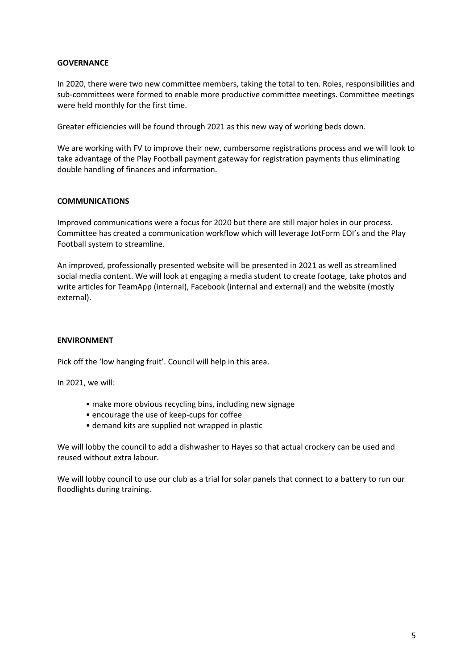## **GOVERNANCE**

In 2020, there were two new committee members, taking the total to ten. Roles, responsibilities and sub-committees were formed to enable more productive committee meetings. Committee meetings were held monthly for the first time.

Greater efficiencies will be found through 2021 as this new way of working beds down.

We are working with FV to improve their new, cumbersome registrations process and we will look to take advantage of the Play Football payment gateway for registration payments thus eliminating double handling of finances and information.

## **COMMUNICATIONS**

Improved communications were a focus for 2020 but there are still major holes in our process. Committee has created a communication workflow which will leverage JotForm EOI's and the Play Football system to streamline.

An improved, professionally presented website will be presented in 2021 as well as streamlined social media content. We will look at engaging a media student to create footage, take photos and write articles for TeamApp (internal), Facebook (internal and external) and the website (mostly external).

## **ENVIRONMENT**

Pick off the 'low hanging fruit'. Council will help in this area.

In 2021, we will:

- make more obvious recycling bins, including new signage
- encourage the use of keep-cups for coffee
- demand kits are supplied not wrapped in plastic

We will lobby the council to add a dishwasher to Hayes so that actual crockery can be used and reused without extra labour.

We will lobby council to use our club as a trial for solar panels that connect to a battery to run our floodlights during training.